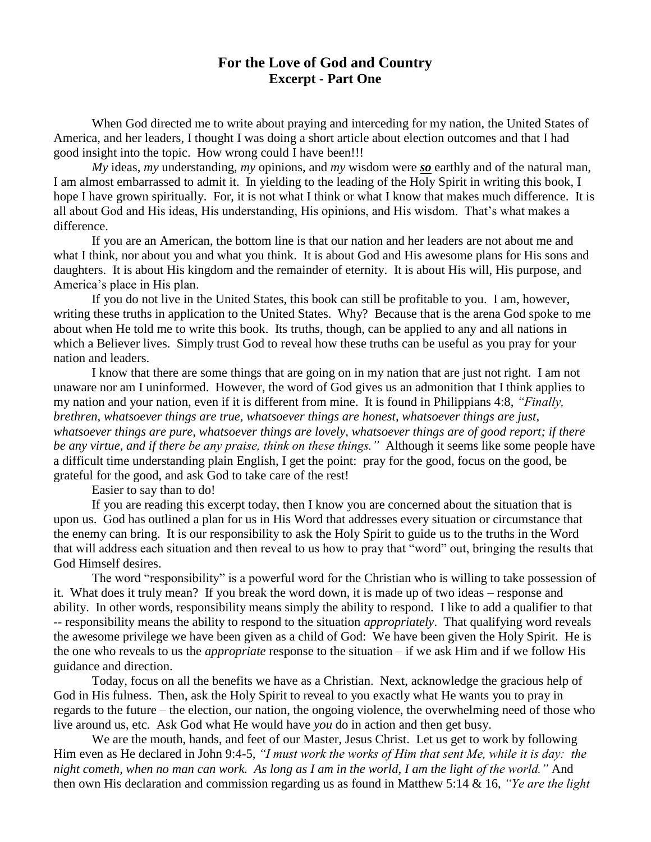## **For the Love of God and Country Excerpt - Part One**

When God directed me to write about praying and interceding for my nation, the United States of America, and her leaders, I thought I was doing a short article about election outcomes and that I had good insight into the topic. How wrong could I have been!!!

*My* ideas, *my* understanding, *my* opinions, and *my* wisdom were *so* earthly and of the natural man, I am almost embarrassed to admit it. In yielding to the leading of the Holy Spirit in writing this book, I hope I have grown spiritually. For, it is not what I think or what I know that makes much difference. It is all about God and His ideas, His understanding, His opinions, and His wisdom. That's what makes a difference.

If you are an American, the bottom line is that our nation and her leaders are not about me and what I think, nor about you and what you think. It is about God and His awesome plans for His sons and daughters. It is about His kingdom and the remainder of eternity. It is about His will, His purpose, and America's place in His plan.

If you do not live in the United States, this book can still be profitable to you. I am, however, writing these truths in application to the United States. Why? Because that is the arena God spoke to me about when He told me to write this book. Its truths, though, can be applied to any and all nations in which a Believer lives. Simply trust God to reveal how these truths can be useful as you pray for your nation and leaders.

I know that there are some things that are going on in my nation that are just not right. I am not unaware nor am I uninformed. However, the word of God gives us an admonition that I think applies to my nation and your nation, even if it is different from mine. It is found in Philippians 4:8, *"Finally, brethren, whatsoever things are true, whatsoever things are honest, whatsoever things are just, whatsoever things are pure, whatsoever things are lovely, whatsoever things are of good report; if there be any virtue, and if there be any praise, think on these things."* Although it seems like some people have a difficult time understanding plain English, I get the point: pray for the good, focus on the good, be grateful for the good, and ask God to take care of the rest!

Easier to say than to do!

If you are reading this excerpt today, then I know you are concerned about the situation that is upon us. God has outlined a plan for us in His Word that addresses every situation or circumstance that the enemy can bring. It is our responsibility to ask the Holy Spirit to guide us to the truths in the Word that will address each situation and then reveal to us how to pray that "word" out, bringing the results that God Himself desires.

The word "responsibility" is a powerful word for the Christian who is willing to take possession of it. What does it truly mean? If you break the word down, it is made up of two ideas – response and ability. In other words, responsibility means simply the ability to respond. I like to add a qualifier to that -- responsibility means the ability to respond to the situation *appropriately*. That qualifying word reveals the awesome privilege we have been given as a child of God: We have been given the Holy Spirit. He is the one who reveals to us the *appropriate* response to the situation – if we ask Him and if we follow His guidance and direction.

Today, focus on all the benefits we have as a Christian. Next, acknowledge the gracious help of God in His fulness. Then, ask the Holy Spirit to reveal to you exactly what He wants you to pray in regards to the future – the election, our nation, the ongoing violence, the overwhelming need of those who live around us, etc. Ask God what He would have *you* do in action and then get busy.

We are the mouth, hands, and feet of our Master, Jesus Christ. Let us get to work by following Him even as He declared in John 9:4-5, *"I must work the works of Him that sent Me, while it is day: the night cometh, when no man can work. As long as I am in the world, I am the light of the world."* And then own His declaration and commission regarding us as found in Matthew 5:14 & 16, *"Ye are the light*